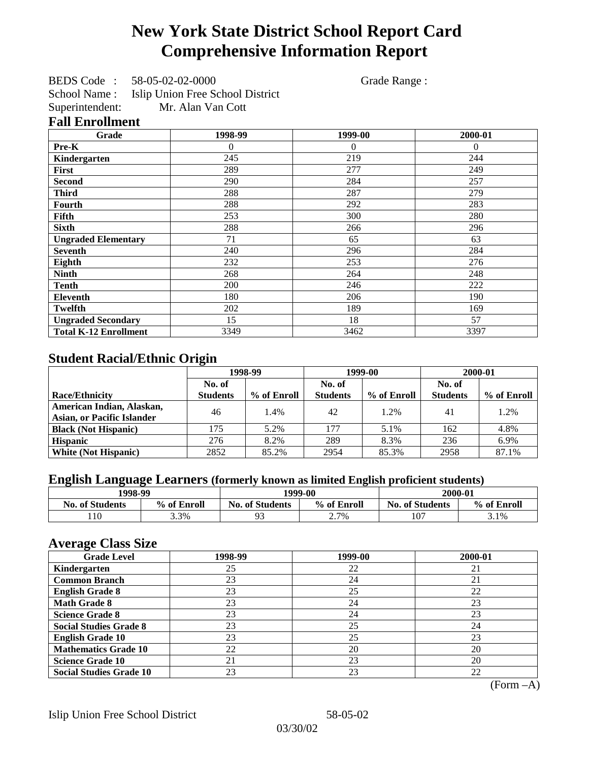# **New York State District School Report Card Comprehensive Information Report**

BEDS Code : 58-05-02-02-0000 Grade Range : School Name : Islip Union Free School District<br>Superintendent: Mr. Alan Van Cott Mr. Alan Van Cott

### **Fall Enrollment**

| Grade                        | 1998-99 | 1999-00  | 2000-01  |
|------------------------------|---------|----------|----------|
| Pre-K                        | 0       | $\theta$ | $\Omega$ |
| Kindergarten                 | 245     | 219      | 244      |
| <b>First</b>                 | 289     | 277      | 249      |
| <b>Second</b>                | 290     | 284      | 257      |
| <b>Third</b>                 | 288     | 287      | 279      |
| <b>Fourth</b>                | 288     | 292      | 283      |
| Fifth                        | 253     | 300      | 280      |
| <b>Sixth</b>                 | 288     | 266      | 296      |
| <b>Ungraded Elementary</b>   | 71      | 65       | 63       |
| <b>Seventh</b>               | 240     | 296      | 284      |
| Eighth                       | 232     | 253      | 276      |
| <b>Ninth</b>                 | 268     | 264      | 248      |
| Tenth                        | 200     | 246      | 222      |
| Eleventh                     | 180     | 206      | 190      |
| Twelfth                      | 202     | 189      | 169      |
| <b>Ungraded Secondary</b>    | 15      | 18       | 57       |
| <b>Total K-12 Enrollment</b> | 3349    | 3462     | 3397     |

## **Student Racial/Ethnic Origin**

|                                   | 1998-99         |             |                 | 1999-00     | 2000-01         |             |
|-----------------------------------|-----------------|-------------|-----------------|-------------|-----------------|-------------|
|                                   | No. of          |             | No. of          |             | No. of          |             |
| <b>Race/Ethnicity</b>             | <b>Students</b> | % of Enroll | <b>Students</b> | % of Enroll | <b>Students</b> | % of Enroll |
| American Indian, Alaskan,         | 46              | 1.4%        | 42              | 1.2%        | 41              | 1.2%        |
| <b>Asian, or Pacific Islander</b> |                 |             |                 |             |                 |             |
| <b>Black (Not Hispanic)</b>       | 175             | 5.2%        | 177             | 5.1%        | 162             | 4.8%        |
| <b>Hispanic</b>                   | 276             | 8.2%        | 289             | 8.3%        | 236             | 6.9%        |
| <b>White (Not Hispanic)</b>       | 2852            | 85.2%       | 2954            | 85.3%       | 2958            | 87.1%       |

## **English Language Learners (formerly known as limited English proficient students)**

| 1998-99                |             |                                       | 1999-00 | 2000-01                |             |
|------------------------|-------------|---------------------------------------|---------|------------------------|-------------|
| <b>No. of Students</b> | % of Enroll | % of Enroll<br><b>No. of Students</b> |         | <b>No. of Students</b> | % of Enroll |
| 110                    | 3.3%        | ۵۹<br>7J                              | 2.7%    | 107                    | 3.1%        |

### **Average Class Size**

| o<br><b>Grade Level</b>        | 1998-99 | 1999-00 | 2000-01 |
|--------------------------------|---------|---------|---------|
| Kindergarten                   | 25      | 22      | 21      |
| <b>Common Branch</b>           | 23      | 24      | 21      |
| <b>English Grade 8</b>         | 23      | 25      | 22      |
| <b>Math Grade 8</b>            | 23      | 24      | 23      |
| <b>Science Grade 8</b>         | 23      | 24      | 23      |
| <b>Social Studies Grade 8</b>  | 23      | 25      | 24      |
| <b>English Grade 10</b>        | 23      | 25      | 23      |
| <b>Mathematics Grade 10</b>    | 22      | 20      | 20      |
| <b>Science Grade 10</b>        | 21      | 23      | 20      |
| <b>Social Studies Grade 10</b> | 23      | 23      | 22      |

(Form –A)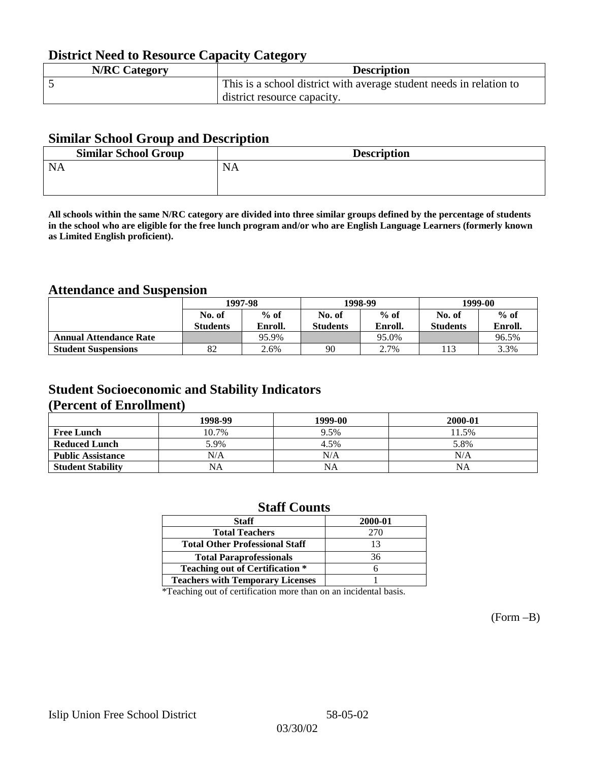## **District Need to Resource Capacity Category**

| <b>N/RC Category</b> | <b>Description</b>                                                  |
|----------------------|---------------------------------------------------------------------|
|                      | This is a school district with average student needs in relation to |
|                      | district resource capacity.                                         |

### **Similar School Group and Description**

| <b>Similar School Group</b> | <b>Description</b> |
|-----------------------------|--------------------|
| <b>NA</b>                   | <b>NA</b>          |

**All schools within the same N/RC category are divided into three similar groups defined by the percentage of students in the school who are eligible for the free lunch program and/or who are English Language Learners (formerly known as Limited English proficient).**

## **Attendance and Suspension**

|                               | 1997-98         |         |                 | 1998-99 | 1999-00         |         |
|-------------------------------|-----------------|---------|-----------------|---------|-----------------|---------|
|                               | No. of          | $%$ of  | No. of          | $%$ of  | No. of          | $%$ of  |
|                               | <b>Students</b> | Enroll. | <b>Students</b> | Enroll. | <b>Students</b> | Enroll. |
| <b>Annual Attendance Rate</b> |                 | 95.9%   |                 | 95.0%   |                 | 96.5%   |
| <b>Student Suspensions</b>    | 82              | 2.6%    | 90              | 2.7%    |                 | 3.3%    |

## **Student Socioeconomic and Stability Indicators (Percent of Enrollment)**

|                          | 1998-99 | 1999-00   | 2000-01 |
|--------------------------|---------|-----------|---------|
| <b>Free Lunch</b>        | 10.7%   | 9.5%      | 11.5%   |
| <b>Reduced Lunch</b>     | 5.9%    | 4.5%      | 5.8%    |
| <b>Public Assistance</b> | N/A     | N/A       | N/A     |
| <b>Student Stability</b> | NA      | <b>NA</b> | NA      |

### **Staff Counts**

| 2000-01 |
|---------|
| 270     |
| 13      |
| 36      |
|         |
|         |
|         |

\*Teaching out of certification more than on an incidental basis.

(Form –B)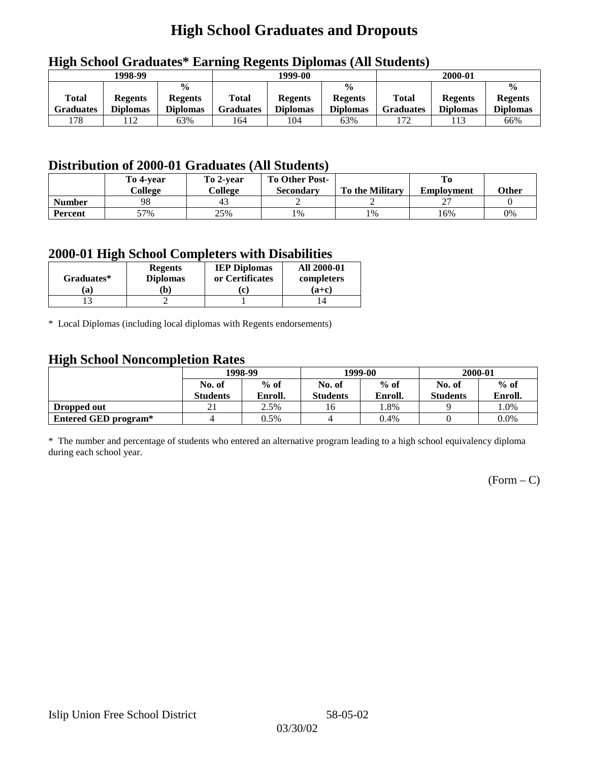# **High School Graduates and Dropouts**

| $\epsilon$ | 1998-99         |                                 | 1999-00          |                 |                                 | 2000-01          |                 |                                 |
|------------|-----------------|---------------------------------|------------------|-----------------|---------------------------------|------------------|-----------------|---------------------------------|
| Total      | <b>Regents</b>  | $\frac{6}{6}$<br><b>Regents</b> | Total            | <b>Regents</b>  | $\frac{0}{0}$<br><b>Regents</b> | <b>Total</b>     | <b>Regents</b>  | $\frac{0}{0}$<br><b>Regents</b> |
| Graduates  | <b>Diplomas</b> | <b>Diplomas</b>                 | <b>Graduates</b> | <b>Diplomas</b> | <b>Diplomas</b>                 | <b>Graduates</b> | <b>Diplomas</b> | <b>Diplomas</b>                 |
| l 78       | 112             | 63%                             | 164              | 104             | 63%                             | 172              |                 | 66%                             |

## **High School Graduates\* Earning Regents Diplomas (All Students)**

## **Distribution of 2000-01 Graduates (All Students)**

|                | To 4-vear<br>College | To 2-year<br>College | <b>To Other Post-</b><br><b>Secondary</b> | <b>To the Military</b> | <b>Employment</b> | Other |
|----------------|----------------------|----------------------|-------------------------------------------|------------------------|-------------------|-------|
| <b>Number</b>  | 98                   | 43                   |                                           |                        | ∸                 |       |
| <b>Percent</b> | 57%                  | 25%                  | 1%                                        | 1%                     | 16%               | 0%    |

### **2000-01 High School Completers with Disabilities**

| Graduates* | <b>Regents</b><br><b>Diplomas</b> | <b>IEP Diplomas</b><br>or Certificates | <b>All 2000-01</b><br>completers |
|------------|-----------------------------------|----------------------------------------|----------------------------------|
| a          | b)                                | r                                      | $(a+c)$                          |
|            |                                   |                                        |                                  |

\* Local Diplomas (including local diplomas with Regents endorsements)

## **High School Noncompletion Rates**

| $\sim$               | 1998-99         |         |                 | 1999-00 | 2000-01         |         |
|----------------------|-----------------|---------|-----------------|---------|-----------------|---------|
|                      | No. of          | $%$ of  | No. of          | $%$ of  | No. of          | $%$ of  |
|                      | <b>Students</b> | Enroll. | <b>Students</b> | Enroll. | <b>Students</b> | Enroll. |
| Dropped out          | $\gamma_1$      | 2.5%    | 16              | 1.8%    |                 | 1.0%    |
| Entered GED program* |                 | 0.5%    |                 | 0.4%    |                 | $0.0\%$ |

\* The number and percentage of students who entered an alternative program leading to a high school equivalency diploma during each school year.

 $(Form - C)$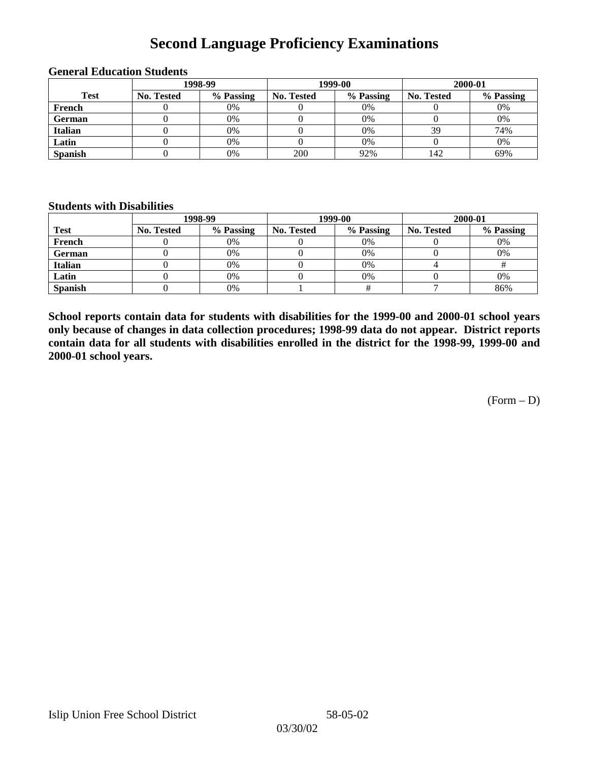# **Second Language Proficiency Examinations**

|                | 1998-99    |           |                   | 1999-00   | 2000-01    |           |  |
|----------------|------------|-----------|-------------------|-----------|------------|-----------|--|
| <b>Test</b>    | No. Tested | % Passing | <b>No. Tested</b> | % Passing | No. Tested | % Passing |  |
| French         |            | 0%        |                   | 0%        |            | 0%        |  |
| <b>German</b>  |            | 0%        |                   | 0%        |            | 0%        |  |
| <b>Italian</b> |            | 0%        |                   | 0%        | 39         | 74%       |  |
| Latin          |            | 0%        |                   | 0%        |            | 0%        |  |
| <b>Spanish</b> |            | 0%        | 200               | 92%       | 142        | 69%       |  |

#### **General Education Students**

### **Students with Disabilities**

|                | 1998-99    |           |                   | 1999-00   | 2000-01           |           |  |
|----------------|------------|-----------|-------------------|-----------|-------------------|-----------|--|
| <b>Test</b>    | No. Tested | % Passing | <b>No. Tested</b> | % Passing | <b>No. Tested</b> | % Passing |  |
| French         |            | $0\%$     |                   | 0%        |                   | 0%        |  |
| German         |            | 0%        |                   | 0%        |                   | 0%        |  |
| <b>Italian</b> |            | 0%        |                   | 0%        |                   |           |  |
| Latin          |            | 0%        |                   | $0\%$     |                   | 0%        |  |
| <b>Spanish</b> |            | 0%        |                   |           |                   | 86%       |  |

**School reports contain data for students with disabilities for the 1999-00 and 2000-01 school years only because of changes in data collection procedures; 1998-99 data do not appear. District reports contain data for all students with disabilities enrolled in the district for the 1998-99, 1999-00 and 2000-01 school years.**

 $(Form - D)$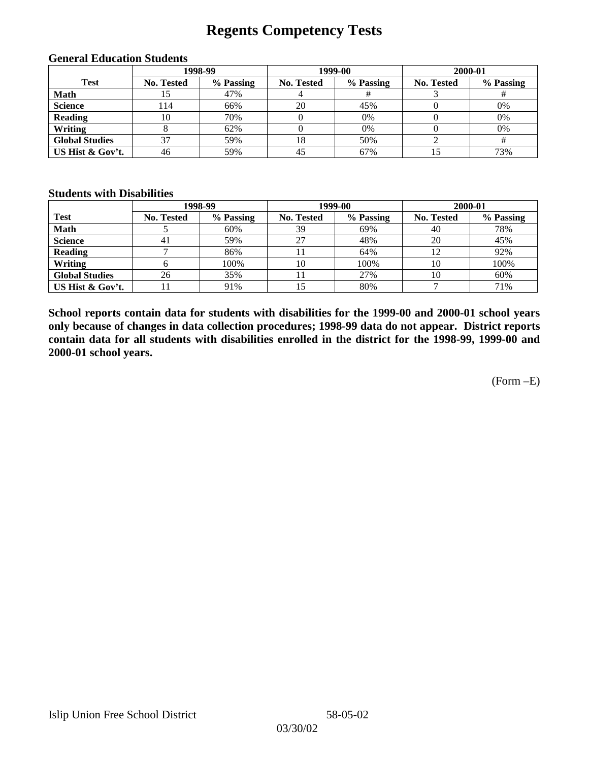# **Regents Competency Tests**

|                       | 1998-99    |           |                   | 1999-00   | 2000-01           |           |  |
|-----------------------|------------|-----------|-------------------|-----------|-------------------|-----------|--|
| <b>Test</b>           | No. Tested | % Passing | <b>No. Tested</b> | % Passing | <b>No. Tested</b> | % Passing |  |
| <b>Math</b>           |            | 47%       |                   |           |                   |           |  |
| <b>Science</b>        | l 14       | 66%       | 20                | 45%       |                   | 0%        |  |
| <b>Reading</b>        | 10         | 70%       |                   | 0%        |                   | 0%        |  |
| Writing               |            | 62%       |                   | 0%        |                   | 0%        |  |
| <b>Global Studies</b> | 37         | 59%       | 18                | 50%       |                   |           |  |
| US Hist & Gov't.      | 46         | 59%       | 45                | 67%       |                   | 73%       |  |

#### **General Education Students**

### **Students with Disabilities**

|                       |                   | 1998-99   | 1999-00           |           | 2000-01           |           |
|-----------------------|-------------------|-----------|-------------------|-----------|-------------------|-----------|
| <b>Test</b>           | <b>No. Tested</b> | % Passing | <b>No. Tested</b> | % Passing | <b>No. Tested</b> | % Passing |
| <b>Math</b>           |                   | 60%       | 39                | 69%       | 40                | 78%       |
| <b>Science</b>        | 41                | 59%       | 27                | 48%       | 20                | 45%       |
| <b>Reading</b>        |                   | 86%       |                   | 64%       |                   | 92%       |
| Writing               |                   | 100%      | 10                | 100%      | 10                | 100%      |
| <b>Global Studies</b> | 26                | 35%       |                   | 27%       | 10                | 60%       |
| US Hist & Gov't.      |                   | 91%       | 15                | 80%       |                   | 71%       |

**School reports contain data for students with disabilities for the 1999-00 and 2000-01 school years only because of changes in data collection procedures; 1998-99 data do not appear. District reports contain data for all students with disabilities enrolled in the district for the 1998-99, 1999-00 and 2000-01 school years.**

(Form –E)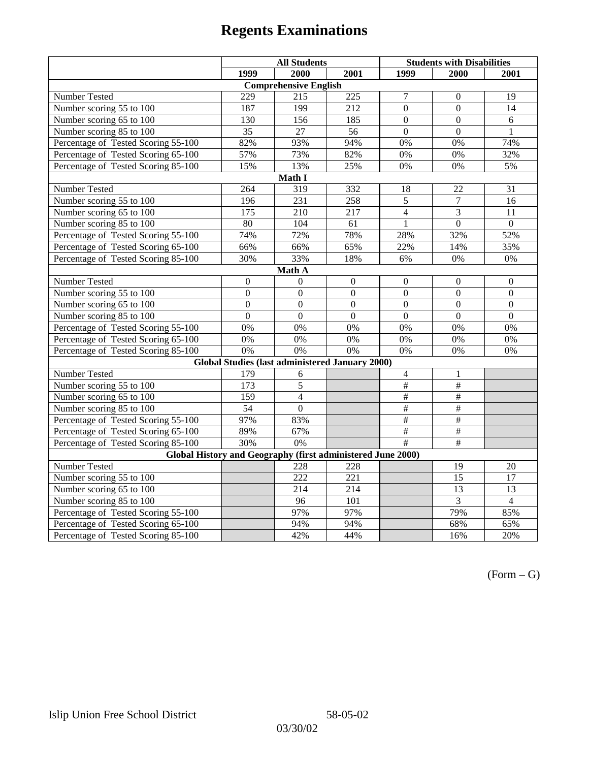|                                                             | <b>All Students</b>                 |                                                        |                | <b>Students with Disabilities</b> |                           |                  |  |  |  |
|-------------------------------------------------------------|-------------------------------------|--------------------------------------------------------|----------------|-----------------------------------|---------------------------|------------------|--|--|--|
|                                                             | 1999                                | 2000                                                   | 2001           | 1999                              | 2000                      | 2001             |  |  |  |
|                                                             |                                     | <b>Comprehensive English</b>                           |                |                                   |                           |                  |  |  |  |
| Number Tested                                               | 229                                 | 215                                                    | 225            | $\overline{7}$                    | $\mathbf{0}$              | 19               |  |  |  |
| Number scoring 55 to 100                                    | 187                                 | 199                                                    | 212            | $\theta$                          | $\Omega$                  | 14               |  |  |  |
| Number scoring 65 to 100                                    | 130                                 | 156                                                    | 185            | $\overline{0}$                    | $\overline{0}$            | 6                |  |  |  |
| Number scoring 85 to 100                                    | 35                                  | 27                                                     | 56             | $\Omega$                          | $\Omega$                  | 1                |  |  |  |
| Percentage of Tested Scoring 55-100                         | 82%                                 | 93%                                                    | 94%            | 0%                                | 0%                        | 74%              |  |  |  |
| Percentage of Tested Scoring 65-100                         | 57%                                 | 73%                                                    | 82%            | 0%                                | 0%                        | 32%              |  |  |  |
| Percentage of Tested Scoring 85-100                         | 15%                                 | 13%                                                    | 25%            | 0%                                | 0%                        | 5%               |  |  |  |
|                                                             |                                     | Math I                                                 |                |                                   |                           |                  |  |  |  |
| Number Tested                                               | 264<br>319<br>332<br>18<br>22<br>31 |                                                        |                |                                   |                           |                  |  |  |  |
| Number scoring 55 to 100                                    | 196                                 | 231                                                    | 258            | $\overline{5}$                    | $\overline{7}$            | 16               |  |  |  |
| Number scoring 65 to 100                                    | 175                                 | 210                                                    | 217            | $\overline{4}$                    | 3                         | 11               |  |  |  |
| Number scoring 85 to 100                                    | 80                                  | 104                                                    | 61             | $\overline{1}$                    | $\overline{0}$            | $\overline{0}$   |  |  |  |
| Percentage of Tested Scoring 55-100                         | 74%                                 | 72%                                                    | 78%            | 28%                               | 32%                       | 52%              |  |  |  |
| Percentage of Tested Scoring 65-100                         | 66%                                 | 66%                                                    | 65%            | 22%                               | 14%                       | 35%              |  |  |  |
| Percentage of Tested Scoring 85-100                         | 30%                                 | 33%                                                    | 18%            | 6%                                | $0\%$                     | $0\%$            |  |  |  |
| Math A                                                      |                                     |                                                        |                |                                   |                           |                  |  |  |  |
| Number Tested                                               | $\boldsymbol{0}$                    | $\boldsymbol{0}$                                       | $\mathbf{0}$   | $\overline{0}$                    | $\mathbf{0}$              | $\boldsymbol{0}$ |  |  |  |
| Number scoring 55 to 100                                    | $\overline{0}$                      | $\overline{0}$                                         | $\overline{0}$ | $\overline{0}$                    | $\overline{0}$            | $\overline{0}$   |  |  |  |
| Number scoring 65 to 100                                    | $\boldsymbol{0}$                    | $\mathbf{0}$                                           | $\mathbf{0}$   | $\overline{0}$                    | $\boldsymbol{0}$          | $\boldsymbol{0}$ |  |  |  |
| Number scoring 85 to 100                                    | $\mathbf{0}$                        | $\mathbf{0}$                                           | $\mathbf{0}$   | $\mathbf{0}$                      | $\mathbf{0}$              | $\boldsymbol{0}$ |  |  |  |
| Percentage of Tested Scoring 55-100                         | 0%                                  | 0%                                                     | 0%             | 0%                                | 0%                        | 0%               |  |  |  |
| Percentage of Tested Scoring 65-100                         | 0%                                  | 0%                                                     | 0%             | 0%                                | 0%                        | 0%               |  |  |  |
| Percentage of Tested Scoring 85-100                         | 0%                                  | 0%                                                     | 0%             | 0%                                | 0%                        | 0%               |  |  |  |
|                                                             |                                     | <b>Global Studies (last administered January 2000)</b> |                |                                   |                           |                  |  |  |  |
| Number Tested                                               | 179                                 | 6                                                      |                | $\overline{4}$                    | 1                         |                  |  |  |  |
| Number scoring 55 to 100                                    | 173                                 | 5                                                      |                | $\overline{\overline{t}}$         | $\overline{\overline{t}}$ |                  |  |  |  |
| Number scoring 65 to 100                                    | 159                                 | $\overline{4}$                                         |                | $\#$                              | $\#$                      |                  |  |  |  |
| Number scoring 85 to 100                                    | 54                                  | $\mathbf{0}$                                           |                | $\frac{1}{2}$                     | #                         |                  |  |  |  |
| Percentage of Tested Scoring 55-100                         | 97%                                 | 83%                                                    |                | $\overline{\#}$                   | $\overline{\#}$           |                  |  |  |  |
| Percentage of Tested Scoring 65-100                         | 89%                                 | 67%                                                    |                | #                                 | #                         |                  |  |  |  |
| Percentage of Tested Scoring 85-100                         | 30%                                 | 0%                                                     |                | #                                 | $\overline{\#}$           |                  |  |  |  |
| Global History and Geography (first administered June 2000) |                                     |                                                        |                |                                   |                           |                  |  |  |  |
| Number Tested                                               |                                     | 228                                                    | 228            |                                   | 19                        | 20               |  |  |  |
| Number scoring 55 to 100                                    |                                     | 222                                                    | 221            |                                   | $\overline{15}$           | 17               |  |  |  |
| Number scoring 65 to 100                                    |                                     | 214                                                    | 214            |                                   | $\overline{13}$           | $\overline{13}$  |  |  |  |
| Number scoring 85 to 100                                    |                                     | 96                                                     | 101            |                                   | $\overline{3}$            | $\overline{4}$   |  |  |  |
| Percentage of Tested Scoring 55-100                         |                                     | 97%                                                    | 97%            |                                   | 79%                       | 85%              |  |  |  |
| Percentage of Tested Scoring 65-100                         |                                     | 94%                                                    | 94%            |                                   | 68%                       | 65%              |  |  |  |
| Percentage of Tested Scoring 85-100                         |                                     | 42%                                                    | 44%            |                                   | 16%                       | 20%              |  |  |  |

 $(Form - G)$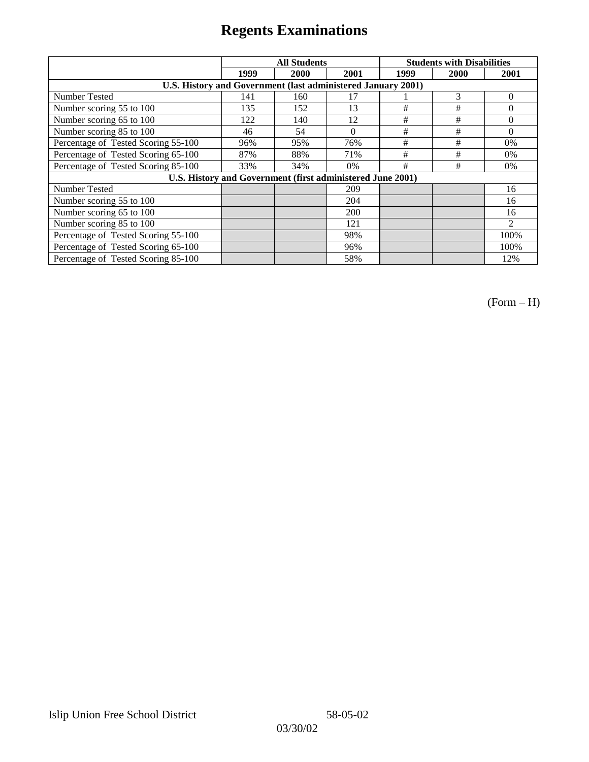|                                                              | <b>All Students</b> |      |          | <b>Students with Disabilities</b> |      |                |  |
|--------------------------------------------------------------|---------------------|------|----------|-----------------------------------|------|----------------|--|
|                                                              | 1999                | 2000 | 2001     | 1999                              | 2000 | 2001           |  |
| U.S. History and Government (last administered January 2001) |                     |      |          |                                   |      |                |  |
| Number Tested                                                | 141                 | 160  | 17       |                                   | 3    | $\Omega$       |  |
| Number scoring 55 to 100                                     | 135                 | 152  | 13       | #                                 | #    | $\theta$       |  |
| Number scoring 65 to 100                                     | 122                 | 140  | 12       | $\#$                              | #    | $\theta$       |  |
| Number scoring 85 to 100                                     | 46                  | 54   | $\Omega$ | #                                 | #    | $\Omega$       |  |
| Percentage of Tested Scoring 55-100                          | 96%                 | 95%  | 76%      | #                                 | #    | 0%             |  |
| Percentage of Tested Scoring 65-100                          | 87%                 | 88%  | 71%      | #                                 | #    | $0\%$          |  |
| Percentage of Tested Scoring 85-100                          | 33%                 | 34%  | 0%       | #                                 | #    | $0\%$          |  |
| U.S. History and Government (first administered June 2001)   |                     |      |          |                                   |      |                |  |
| Number Tested                                                |                     |      | 209      |                                   |      | 16             |  |
| Number scoring 55 to 100                                     |                     |      | 204      |                                   |      | 16             |  |
| Number scoring 65 to 100                                     |                     |      | 200      |                                   |      | 16             |  |
| Number scoring 85 to 100                                     |                     |      | 121      |                                   |      | $\mathfrak{D}$ |  |
| Percentage of Tested Scoring 55-100                          |                     |      | 98%      |                                   |      | 100%           |  |
| Percentage of Tested Scoring 65-100                          |                     |      | 96%      |                                   |      | 100%           |  |
| Percentage of Tested Scoring 85-100                          |                     |      | 58%      |                                   |      | 12%            |  |

(Form – H)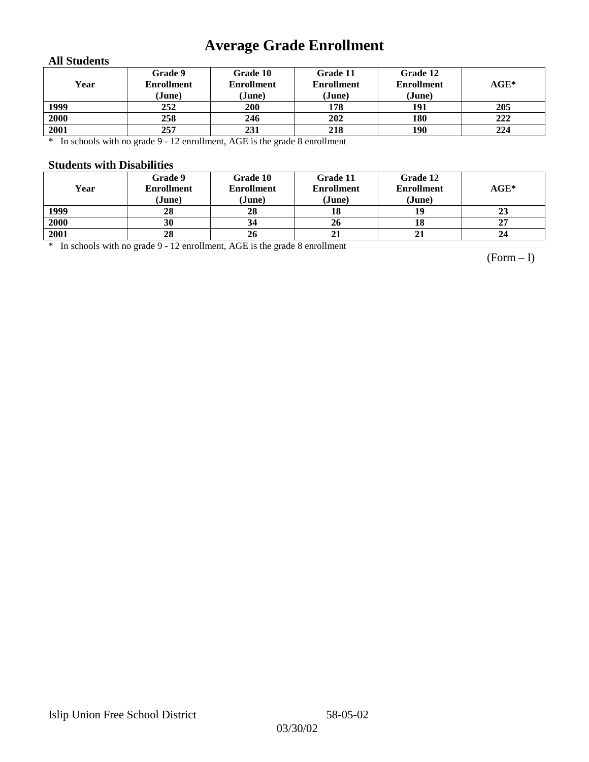# **Average Grade Enrollment**

### **All Students**

| Year | Grade 9<br><b>Enrollment</b><br>(June) | Grade 10<br><b>Enrollment</b><br>(June) | Grade 11<br><b>Enrollment</b><br>(June) | Grade 12<br><b>Enrollment</b><br>(June) | $AGE^*$ |
|------|----------------------------------------|-----------------------------------------|-----------------------------------------|-----------------------------------------|---------|
| 1999 | 252                                    | 200                                     | 178                                     | 191                                     | 205     |
| 2000 | 258                                    | 246                                     | 202                                     | 180                                     | 222     |
| 2001 | 257                                    | 231                                     | 218                                     | 190                                     | 224     |

\* In schools with no grade 9 - 12 enrollment, AGE is the grade 8 enrollment

#### **Students with Disabilities**

| Year | Grade 9<br><b>Enrollment</b><br>(June) | Grade 10<br><b>Enrollment</b><br>(June) | Grade 11<br><b>Enrollment</b><br>(June) | Grade 12<br><b>Enrollment</b><br>(June) | $AGE^*$ |
|------|----------------------------------------|-----------------------------------------|-----------------------------------------|-----------------------------------------|---------|
| 1999 | 28                                     | 28                                      | 18                                      | 19                                      | 23      |
| 2000 | 30                                     | 34                                      | 26                                      | 18                                      | 27      |
| 2001 | 28                                     | 26                                      | 21                                      |                                         | 24      |

\* In schools with no grade 9 - 12 enrollment, AGE is the grade 8 enrollment

(Form – I)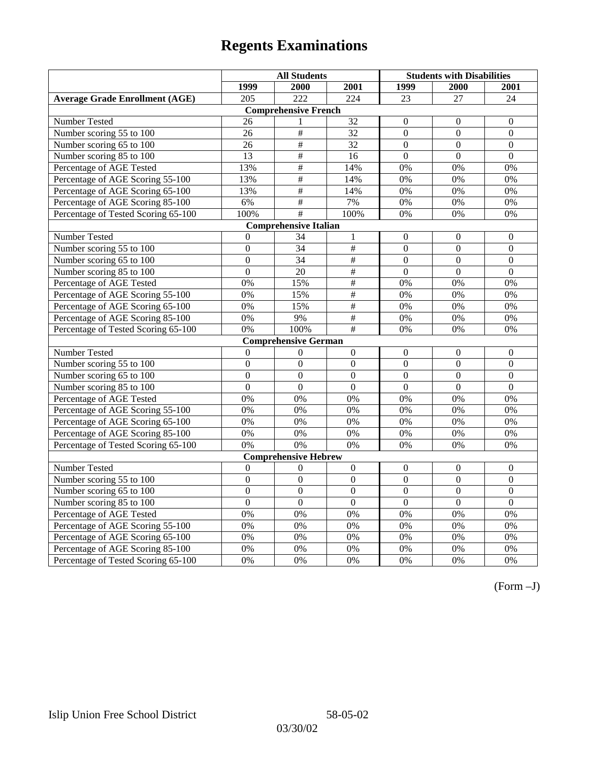|                                       | <b>All Students</b> |                              |                  | <b>Students with Disabilities</b> |                  |                  |
|---------------------------------------|---------------------|------------------------------|------------------|-----------------------------------|------------------|------------------|
|                                       | 1999                | 2000                         | 2001             | 1999                              | 2000             | 2001             |
| <b>Average Grade Enrollment (AGE)</b> | 205                 | $\overline{222}$             | $\overline{224}$ | 23                                | $\overline{27}$  | $\overline{24}$  |
|                                       |                     | <b>Comprehensive French</b>  |                  |                                   |                  |                  |
| <b>Number Tested</b>                  | 26                  | 1                            | 32               | $\mathbf{0}$                      | $\mathbf{0}$     | $\mathbf{0}$     |
| Number scoring 55 to 100              | 26                  | $\overline{\#}$              | $\overline{32}$  | $\overline{0}$                    | $\overline{0}$   | $\overline{0}$   |
| Number scoring 65 to 100              | 26                  | $\#$                         | 32               | $\mathbf{0}$                      | $\mathbf{0}$     | $\mathbf{0}$     |
| Number scoring 85 to 100              | $\overline{13}$     | $\overline{\#}$              | 16               | $\mathbf{0}$                      | $\mathbf{0}$     | $\mathbf{0}$     |
| Percentage of AGE Tested              | 13%                 | $\#$                         | 14%              | $0\%$                             | 0%               | 0%               |
| Percentage of AGE Scoring 55-100      | 13%                 | $\#$                         | 14%              | 0%                                | 0%               | 0%               |
| Percentage of AGE Scoring 65-100      | 13%                 | #                            | 14%              | 0%                                | 0%               | 0%               |
| Percentage of AGE Scoring 85-100      | 6%                  | $\#$                         | 7%               | $0\%$                             | $0\%$            | $0\%$            |
| Percentage of Tested Scoring 65-100   | 100%                | #                            | 100%             | 0%                                | 0%               | 0%               |
|                                       |                     | <b>Comprehensive Italian</b> |                  |                                   |                  |                  |
| Number Tested                         | $\theta$            | 34                           | 1                | $\Omega$                          | $\Omega$         | $\boldsymbol{0}$ |
| Number scoring 55 to 100              | $\boldsymbol{0}$    | 34                           | $\overline{\#}$  | $\overline{0}$                    | $\boldsymbol{0}$ | $\boldsymbol{0}$ |
| Number scoring 65 to 100              | $\mathbf{0}$        | 34                           | $\overline{\#}$  | $\overline{0}$                    | $\mathbf{0}$     | $\mathbf{0}$     |
| Number scoring 85 to 100              | $\overline{0}$      | $\overline{20}$              | #                | $\overline{0}$                    | $\overline{0}$   | $\overline{0}$   |
| Percentage of AGE Tested              | 0%                  | 15%                          | #                | 0%                                | 0%               | 0%               |
| Percentage of AGE Scoring 55-100      | 0%                  | 15%                          | #                | 0%                                | 0%               | 0%               |
| Percentage of AGE Scoring 65-100      | 0%                  | 15%                          | $\frac{1}{2}$    | 0%                                | 0%               | 0%               |
| Percentage of AGE Scoring 85-100      | 0%                  | 9%                           | #                | 0%                                | 0%               | 0%               |
| Percentage of Tested Scoring 65-100   | 0%                  | 100%                         | $\overline{\#}$  | 0%                                | 0%               | 0%               |
|                                       |                     | <b>Comprehensive German</b>  |                  |                                   |                  |                  |
| Number Tested                         | $\overline{0}$      | $\mathbf{0}$                 | $\boldsymbol{0}$ | $\mathbf{0}$                      | $\mathbf{0}$     | $\boldsymbol{0}$ |
| Number scoring 55 to 100              | $\mathbf{0}$        | $\mathbf{0}$                 | $\overline{0}$   | $\overline{0}$                    | $\theta$         | $\mathbf{0}$     |
| Number scoring 65 to 100              | $\overline{0}$      | $\overline{0}$               | $\overline{0}$   | $\overline{0}$                    | $\overline{0}$   | $\boldsymbol{0}$ |
| Number scoring 85 to 100              | $\overline{0}$      | $\overline{0}$               | $\overline{0}$   | $\overline{0}$                    | $\overline{0}$   | $\overline{0}$   |
| Percentage of AGE Tested              | 0%                  | 0%                           | 0%               | 0%                                | 0%               | 0%               |
| Percentage of AGE Scoring 55-100      | 0%                  | 0%                           | 0%               | 0%                                | 0%               | 0%               |
| Percentage of AGE Scoring 65-100      | 0%                  | 0%                           | 0%               | 0%                                | 0%               | 0%               |
| Percentage of AGE Scoring 85-100      | 0%                  | 0%                           | 0%               | 0%                                | 0%               | 0%               |
| Percentage of Tested Scoring 65-100   | 0%                  | 0%                           | $0\%$            | 0%                                | 0%               | 0%               |
|                                       |                     | <b>Comprehensive Hebrew</b>  |                  |                                   |                  |                  |
| Number Tested                         | $\boldsymbol{0}$    | $\boldsymbol{0}$             | $\boldsymbol{0}$ | $\mathbf{0}$                      | $\mathbf{0}$     | $\boldsymbol{0}$ |
| Number scoring 55 to 100              | $\overline{0}$      | $\overline{0}$               | $\overline{0}$   | $\overline{0}$                    | $\overline{0}$   | $\overline{0}$   |
| Number scoring 65 to 100              | $\mathbf{0}$        | $\mathbf{0}$                 | $\Omega$         | $\boldsymbol{0}$                  | $\boldsymbol{0}$ | $\boldsymbol{0}$ |
| Number scoring 85 to 100              | $\overline{0}$      | $\overline{0}$               | $\overline{0}$   | $\overline{0}$                    | $\overline{0}$   | $\overline{0}$   |
| Percentage of AGE Tested              | $\overline{0\%}$    | 0%                           | 0%               | 0%                                | 0%               | 0%               |
| Percentage of AGE Scoring 55-100      | 0%                  | 0%                           | 0%               | 0%                                | 0%               | 0%               |
| Percentage of AGE Scoring 65-100      | 0%                  | 0%                           | 0%               | 0%                                | 0%               | 0%               |
| Percentage of AGE Scoring 85-100      | 0%                  | 0%                           | 0%               | $0\%$                             | 0%               | 0%               |
| Percentage of Tested Scoring 65-100   | 0%                  | 0%                           | 0%               | 0%                                | 0%               | 0%               |

(Form –J)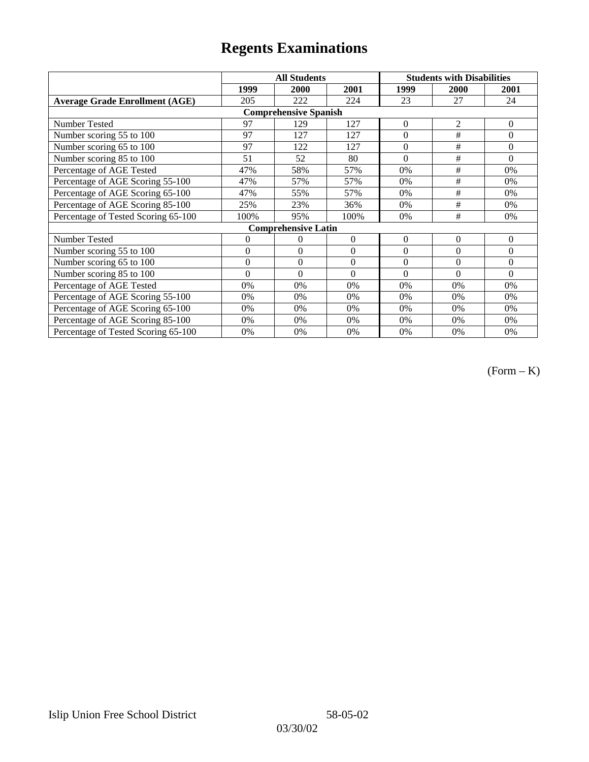|                                       |                | <b>All Students</b>          |          | <b>Students with Disabilities</b> |                |                |
|---------------------------------------|----------------|------------------------------|----------|-----------------------------------|----------------|----------------|
|                                       | 1999           | 2000                         | 2001     | 1999                              | <b>2000</b>    | 2001           |
| <b>Average Grade Enrollment (AGE)</b> | 205            | 222                          | 224      | 23                                | 27             | 24             |
|                                       |                | <b>Comprehensive Spanish</b> |          |                                   |                |                |
| <b>Number Tested</b>                  | 97             | 129                          | 127      | $\overline{0}$                    | $\overline{2}$ | $\mathbf{0}$   |
| Number scoring 55 to 100              | 97             | 127                          | 127      | $\theta$                          | #              | $\theta$       |
| Number scoring 65 to 100              | 97             | 122                          | 127      | $\boldsymbol{0}$                  | $\#$           | $\mathbf{0}$   |
| Number scoring 85 to 100              | 51             | 52                           | 80       | $\theta$                          | #              | $\Omega$       |
| Percentage of AGE Tested              | 47%            | 58%                          | 57%      | 0%                                | #              | $0\%$          |
| Percentage of AGE Scoring 55-100      | 47%            | 57%                          | 57%      | 0%                                | $\#$           | 0%             |
| Percentage of AGE Scoring 65-100      | 47%            | 55%                          | 57%      | 0%                                | #              | 0%             |
| Percentage of AGE Scoring 85-100      | 25%            | 23%                          | 36%      | 0%                                | #              | 0%             |
| Percentage of Tested Scoring 65-100   | 100%           | 95%                          | 100%     | 0%                                | #              | 0%             |
|                                       |                | <b>Comprehensive Latin</b>   |          |                                   |                |                |
| Number Tested                         | $\overline{0}$ | 0                            | $\Omega$ | $\theta$                          | $\theta$       | $\overline{0}$ |
| Number scoring 55 to 100              | $\mathbf{0}$   | $\mathbf{0}$                 | $\theta$ | $\theta$                          | $\theta$       | $\mathbf{0}$   |
| Number scoring 65 to 100              | $\mathbf{0}$   | $\mathbf{0}$                 | $\Omega$ | $\theta$                          | $\theta$       | $\Omega$       |
| Number scoring 85 to 100              | $\theta$       | $\theta$                     | $\Omega$ | $\theta$                          | $\Omega$       | $\Omega$       |
| Percentage of AGE Tested              | 0%             | 0%                           | 0%       | 0%                                | 0%             | 0%             |
| Percentage of AGE Scoring 55-100      | 0%             | 0%                           | 0%       | 0%                                | 0%             | 0%             |
| Percentage of AGE Scoring 65-100      | 0%             | 0%                           | 0%       | 0%                                | 0%             | 0%             |
| Percentage of AGE Scoring 85-100      | 0%             | 0%                           | 0%       | 0%                                | $0\%$          | $0\%$          |
| Percentage of Tested Scoring 65-100   | 0%             | 0%                           | 0%       | 0%                                | $0\%$          | $0\%$          |

(Form – K)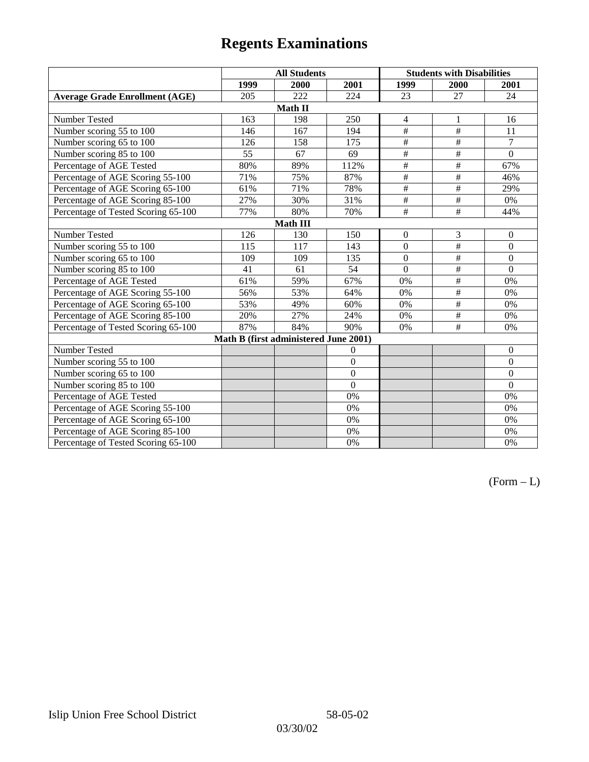|                                       | <b>All Students</b> |                                       |                | <b>Students with Disabilities</b> |                           |                |  |  |
|---------------------------------------|---------------------|---------------------------------------|----------------|-----------------------------------|---------------------------|----------------|--|--|
|                                       | 1999                | 2000                                  | 2001           | 1999                              | 2000                      | 2001           |  |  |
| <b>Average Grade Enrollment (AGE)</b> | 205                 | 222                                   | 224            | 23                                | 27                        | 24             |  |  |
|                                       |                     | Math II                               |                |                                   |                           |                |  |  |
| Number Tested                         | 163                 | 198                                   | 250            | $\overline{4}$                    | 1                         | 16             |  |  |
| Number scoring 55 to 100              | 146                 | 167                                   | 194            | #                                 | #                         | 11             |  |  |
| Number scoring 65 to 100              | 126                 | 158                                   | 175            | $\overline{+}$                    | $\overline{+}$            | $\overline{7}$ |  |  |
| Number scoring 85 to 100              | 55                  | 67                                    | 69             | #                                 | #                         | $\mathbf{0}$   |  |  |
| Percentage of AGE Tested              | 80%                 | 89%                                   | 112%           | $\overline{\#}$                   | $\overline{\#}$           | 67%            |  |  |
| Percentage of AGE Scoring 55-100      | 71%                 | 75%                                   | 87%            | #                                 | $\overline{\overline{}}$  | 46%            |  |  |
| Percentage of AGE Scoring 65-100      | 61%                 | 71%                                   | 78%            | $\frac{1}{2}$                     | $\overline{\#}$           | 29%            |  |  |
| Percentage of AGE Scoring 85-100      | 27%                 | 30%                                   | 31%            | $\overline{\#}$                   | #                         | 0%             |  |  |
| Percentage of Tested Scoring 65-100   | 77%                 | 80%                                   | 70%            | #                                 | $\overline{\overline{t}}$ | 44%            |  |  |
| <b>Math III</b>                       |                     |                                       |                |                                   |                           |                |  |  |
| Number Tested                         | 126                 | 130                                   | 150            | $\overline{0}$                    | 3                         | $\mathbf{0}$   |  |  |
| Number scoring 55 to 100              | 115                 | 117                                   | 143            | $\overline{0}$                    | #                         | $\mathbf{0}$   |  |  |
| Number scoring 65 to 100              | 109                 | 109                                   | 135            | $\theta$                          | $\overline{\#}$           | $\theta$       |  |  |
| Number scoring 85 to 100              | 41                  | 61                                    | 54             | $\theta$                          | $\#$                      | $\Omega$       |  |  |
| Percentage of AGE Tested              | 61%                 | 59%                                   | 67%            | 0%                                | $\#$                      | 0%             |  |  |
| Percentage of AGE Scoring 55-100      | 56%                 | 53%                                   | 64%            | 0%                                | #                         | 0%             |  |  |
| Percentage of AGE Scoring 65-100      | 53%                 | 49%                                   | 60%            | 0%                                | $\overline{\#}$           | 0%             |  |  |
| Percentage of AGE Scoring 85-100      | 20%                 | 27%                                   | 24%            | 0%                                | $\#$                      | 0%             |  |  |
| Percentage of Tested Scoring 65-100   | 87%                 | 84%                                   | 90%            | 0%                                | #                         | 0%             |  |  |
|                                       |                     | Math B (first administered June 2001) |                |                                   |                           |                |  |  |
| Number Tested                         |                     |                                       | $\overline{0}$ |                                   |                           | $\theta$       |  |  |
| Number scoring 55 to 100              |                     |                                       | $\overline{0}$ |                                   |                           | $\Omega$       |  |  |
| Number scoring 65 to 100              |                     |                                       | $\overline{0}$ |                                   |                           | $\mathbf{0}$   |  |  |
| Number scoring 85 to 100              |                     |                                       | $\theta$       |                                   |                           | $\mathbf{0}$   |  |  |
| Percentage of AGE Tested              |                     |                                       | 0%             |                                   |                           | 0%             |  |  |
| Percentage of AGE Scoring 55-100      |                     |                                       | 0%             |                                   |                           | 0%             |  |  |
| Percentage of AGE Scoring 65-100      |                     |                                       | 0%             |                                   |                           | 0%             |  |  |
| Percentage of AGE Scoring 85-100      |                     |                                       | 0%             |                                   |                           | 0%             |  |  |
| Percentage of Tested Scoring 65-100   |                     |                                       | 0%             |                                   |                           | 0%             |  |  |

 $(Form - L)$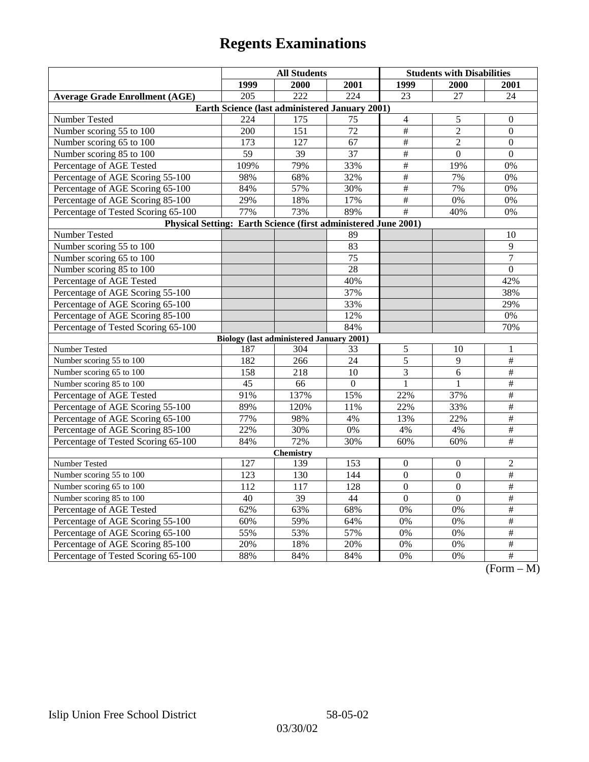|                                                                | <b>All Students</b>                             |      |                 | <b>Students with Disabilities</b> |                  |                                                            |  |  |
|----------------------------------------------------------------|-------------------------------------------------|------|-----------------|-----------------------------------|------------------|------------------------------------------------------------|--|--|
|                                                                | 1999                                            | 2000 | 2001            | 1999                              | <b>2000</b>      | <b>2001</b>                                                |  |  |
| <b>Average Grade Enrollment (AGE)</b>                          | 205                                             | 222  | 224             | 23                                | 27               | 24                                                         |  |  |
| Earth Science (last administered January 2001)                 |                                                 |      |                 |                                   |                  |                                                            |  |  |
| Number Tested                                                  | 224                                             | 175  | 75              | $\overline{4}$                    | 5                | $\boldsymbol{0}$                                           |  |  |
| Number scoring 55 to 100                                       | 200                                             | 151  | 72              | $\#$                              | $\overline{2}$   | $\boldsymbol{0}$                                           |  |  |
| Number scoring 65 to 100                                       | 173                                             | 127  | 67              | $\#$                              | $\overline{2}$   | $\theta$                                                   |  |  |
| Number scoring 85 to 100                                       | 59                                              | 39   | 37              | $\overline{\#}$                   | $\overline{0}$   | $\mathbf{0}$                                               |  |  |
| Percentage of AGE Tested                                       | 109%                                            | 79%  | 33%             | $\overline{\#}$                   | 19%              | 0%                                                         |  |  |
| Percentage of AGE Scoring 55-100                               | 98%                                             | 68%  | 32%             | $\#$                              | 7%               | 0%                                                         |  |  |
| Percentage of AGE Scoring 65-100                               | 84%                                             | 57%  | 30%             | $\#$                              | 7%               | 0%                                                         |  |  |
| Percentage of AGE Scoring 85-100                               | 29%                                             | 18%  | 17%             | $\overline{\#}$                   | 0%               | 0%                                                         |  |  |
| Percentage of Tested Scoring 65-100                            | 77%                                             | 73%  | 89%             | $\overline{\#}$                   | 40%              | 0%                                                         |  |  |
| Physical Setting: Earth Science (first administered June 2001) |                                                 |      |                 |                                   |                  |                                                            |  |  |
| Number Tested                                                  |                                                 |      | 89              |                                   |                  | 10                                                         |  |  |
| Number scoring 55 to 100                                       |                                                 |      | 83              |                                   |                  | 9                                                          |  |  |
| Number scoring 65 to 100                                       |                                                 |      | $\overline{75}$ |                                   |                  | $\overline{7}$                                             |  |  |
| Number scoring 85 to 100                                       |                                                 |      | $\overline{28}$ |                                   |                  | $\boldsymbol{0}$                                           |  |  |
| Percentage of AGE Tested                                       |                                                 |      | 40%             |                                   |                  | 42%                                                        |  |  |
| Percentage of AGE Scoring 55-100                               |                                                 |      | 37%             |                                   |                  | 38%                                                        |  |  |
| Percentage of AGE Scoring 65-100                               |                                                 |      | 33%             |                                   |                  | 29%                                                        |  |  |
| Percentage of AGE Scoring 85-100                               |                                                 |      | 12%             |                                   |                  | 0%                                                         |  |  |
| Percentage of Tested Scoring 65-100                            |                                                 |      | 84%             |                                   |                  | 70%                                                        |  |  |
|                                                                | <b>Biology (last administered January 2001)</b> |      |                 |                                   |                  |                                                            |  |  |
| Number Tested                                                  | 187                                             | 304  | 33              | 5                                 | 10               | 1                                                          |  |  |
| Number scoring 55 to 100                                       | 182                                             | 266  | 24              | $\overline{5}$                    | 9                | $\overline{\#}$                                            |  |  |
| Number scoring 65 to 100                                       | 158                                             | 218  | 10              | 3                                 | 6                | $\#$                                                       |  |  |
| Number scoring 85 to 100                                       | 45                                              | 66   | $\Omega$        | $\mathbf{1}$                      | $\mathbf{1}$     | $\overline{\ddot{}}$                                       |  |  |
| Percentage of AGE Tested                                       | 91%                                             | 137% | 15%             | 22%                               | 37%              | $\#$                                                       |  |  |
| Percentage of AGE Scoring 55-100                               | 89%                                             | 120% | 11%             | 22%                               | 33%              | $\overline{\#}$                                            |  |  |
| Percentage of AGE Scoring 65-100                               | 77%                                             | 98%  | 4%              | 13%                               | 22%              | $\#$                                                       |  |  |
| Percentage of AGE Scoring 85-100                               | 22%                                             | 30%  | $0\%$           | 4%                                | 4%               | $\#$                                                       |  |  |
| Percentage of Tested Scoring 65-100                            | 84%                                             | 72%  | 30%             | 60%                               | 60%              | $\overline{\#}$                                            |  |  |
| <b>Chemistry</b>                                               |                                                 |      |                 |                                   |                  |                                                            |  |  |
| Number Tested                                                  | 127                                             | 139  | 153             | $\overline{0}$                    | $\theta$         | $\overline{c}$                                             |  |  |
| Number scoring 55 to 100                                       | 123                                             | 130  | 144             | $\overline{0}$                    | $\overline{0}$   | $\overline{\#}$                                            |  |  |
| Number scoring 65 to 100                                       | 112                                             | 117  | 128             | $\overline{0}$                    | $\overline{0}$   | $\overline{\#}$                                            |  |  |
| Number scoring 85 to 100                                       | 40                                              | 39   | 44              | $\overline{0}$                    | $\mathbf{0}$     | $\#$                                                       |  |  |
| Percentage of AGE Tested                                       | 62%                                             | 63%  | 68%             | 0%                                | 0%               | $\#$                                                       |  |  |
| Percentage of AGE Scoring 55-100                               | 60%                                             | 59%  | 64%             | $\overline{0\%}$                  | $\overline{0\%}$ | #                                                          |  |  |
| Percentage of AGE Scoring 65-100                               | 55%                                             | 53%  | 57%             | 0%                                | 0%               | $\overline{\#}$                                            |  |  |
| Percentage of AGE Scoring 85-100                               | 20%                                             | 18%  | 20%             | 0%                                | 0%               | $\overline{\#}$                                            |  |  |
| Percentage of Tested Scoring 65-100                            | 88%                                             | 84%  | 84%             | 0%                                | 0%               | $\overline{+}$<br>$\sqrt{\Gamma_{\alpha}}$<br>$\mathbf{M}$ |  |  |

(Form – M)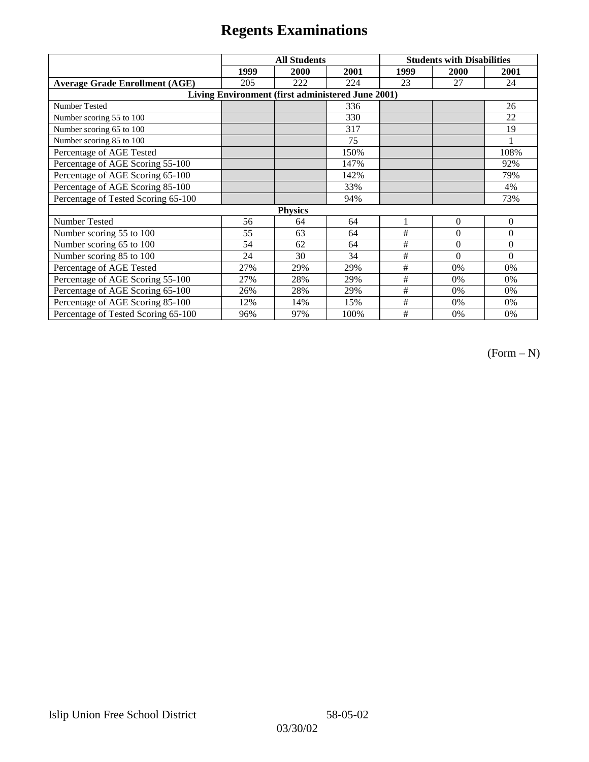|                                                   | <b>All Students</b> |      |      | <b>Students with Disabilities</b> |          |          |  |  |
|---------------------------------------------------|---------------------|------|------|-----------------------------------|----------|----------|--|--|
|                                                   | 1999                | 2000 | 2001 | 1999                              | 2000     | 2001     |  |  |
| <b>Average Grade Enrollment (AGE)</b>             | 205                 | 222  | 224  | 23                                | 27       | 24       |  |  |
| Living Environment (first administered June 2001) |                     |      |      |                                   |          |          |  |  |
| <b>Number Tested</b>                              |                     |      | 336  |                                   |          | 26       |  |  |
| Number scoring 55 to 100                          |                     |      | 330  |                                   |          | 22       |  |  |
| Number scoring 65 to 100                          |                     |      | 317  |                                   |          | 19       |  |  |
| Number scoring 85 to 100                          |                     |      | 75   |                                   |          |          |  |  |
| Percentage of AGE Tested                          |                     |      | 150% |                                   |          | 108%     |  |  |
| Percentage of AGE Scoring 55-100                  |                     |      | 147% |                                   |          | 92%      |  |  |
| Percentage of AGE Scoring 65-100                  |                     |      | 142% |                                   |          | 79%      |  |  |
| Percentage of AGE Scoring 85-100                  |                     |      | 33%  |                                   |          | 4%       |  |  |
| Percentage of Tested Scoring 65-100               |                     |      | 94%  |                                   |          | 73%      |  |  |
| <b>Physics</b>                                    |                     |      |      |                                   |          |          |  |  |
| Number Tested                                     | 56                  | 64   | 64   |                                   | $\Omega$ | $\theta$ |  |  |
| Number scoring 55 to 100                          | 55                  | 63   | 64   | #                                 | $\theta$ | $\theta$ |  |  |
| Number scoring 65 to 100                          | 54                  | 62   | 64   | #                                 | $\Omega$ | $\theta$ |  |  |
| Number scoring 85 to 100                          | 24                  | 30   | 34   | #                                 | $\Omega$ | $\Omega$ |  |  |
| Percentage of AGE Tested                          | 27%                 | 29%  | 29%  | #                                 | 0%       | 0%       |  |  |
| Percentage of AGE Scoring 55-100                  | 27%                 | 28%  | 29%  | $\#$                              | 0%       | 0%       |  |  |
| Percentage of AGE Scoring 65-100                  | 26%                 | 28%  | 29%  | #                                 | $0\%$    | 0%       |  |  |
| Percentage of AGE Scoring 85-100                  | 12%                 | 14%  | 15%  | #                                 | 0%       | 0%       |  |  |
| Percentage of Tested Scoring 65-100               | 96%                 | 97%  | 100% | #                                 | 0%       | 0%       |  |  |

(Form – N)